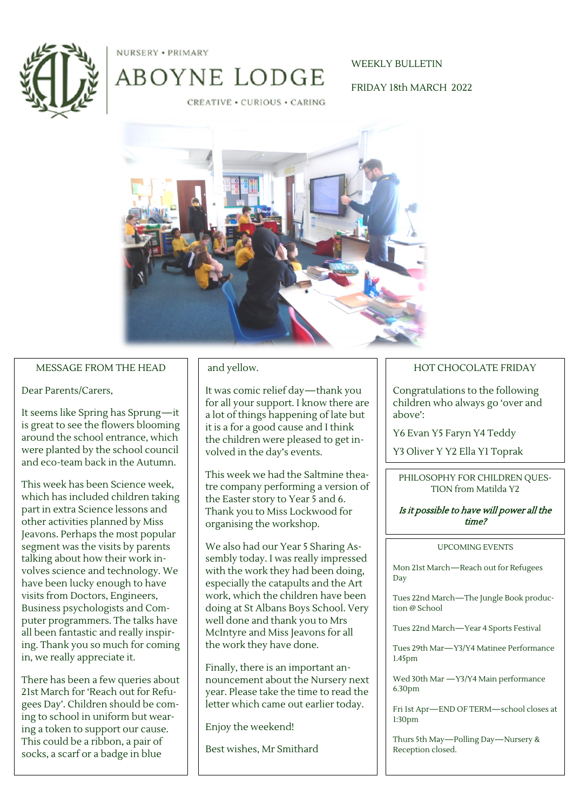



ABOYNE LODGE

## WEEKLY BULLETIN

FRIDAY 18th MARCH 2022

CREATIVE . CURIOUS . CARING



### MESSAGE FROM THE HEAD

### Dear Parents/Carers,

It seems like Spring has Sprung—it is great to see the flowers blooming around the school entrance, which were planted by the school council and eco-team back in the Autumn.

This week has been Science week, which has included children taking part in extra Science lessons and other activities planned by Miss Jeavons. Perhaps the most popular segment was the visits by parents talking about how their work involves science and technology. We have been lucky enough to have visits from Doctors, Engineers, Business psychologists and Computer programmers. The talks have all been fantastic and really inspiring. Thank you so much for coming in, we really appreciate it.

There has been a few queries about 21st March for 'Reach out for Refugees Day'. Children should be coming to school in uniform but wearing a token to support our cause. This could be a ribbon, a pair of socks, a scarf or a badge in blue

## and yellow.

It was comic relief day—thank you for all your support. I know there are a lot of things happening of late but it is a for a good cause and I think the children were pleased to get involved in the day's events.

This week we had the Saltmine theatre company performing a version of the Easter story to Year 5 and 6. Thank you to Miss Lockwood for organising the workshop.

We also had our Year 5 Sharing Assembly today. I was really impressed with the work they had been doing, especially the catapults and the Art work, which the children have been doing at St Albans Boys School. Very well done and thank you to Mrs McIntyre and Miss Jeavons for all the work they have done.

Finally, there is an important announcement about the Nursery next year. Please take the time to read the letter which came out earlier today.

Enjoy the weekend!

Best wishes, Mr Smithard

### HOT CHOCOLATE FRIDAY

Congratulations to the following children who always go 'over and above':

Y6 Evan Y5 Faryn Y4 Teddy

Y3 Oliver Y Y2 Ella Y1 Toprak

PHILOSOPHY FOR CHILDREN QUES-TION from Matilda Y2

### Is it possible to have will power all the time?

#### UPCOMING EVENTS

Mon 21st March—Reach out for Refugees Day

Tues 22nd March—The Jungle Book production @ School

Tues 22nd March—Year 4 Sports Festival

Tues 29th Mar—Y3/Y4 Matinee Performance 1.45pm

Wed 30th Mar —Y3/Y4 Main performance 6.30pm

Fri 1st Apr—END OF TERM—school closes at 1:30pm

Thurs 5th May—Polling Day—Nursery & Reception closed.